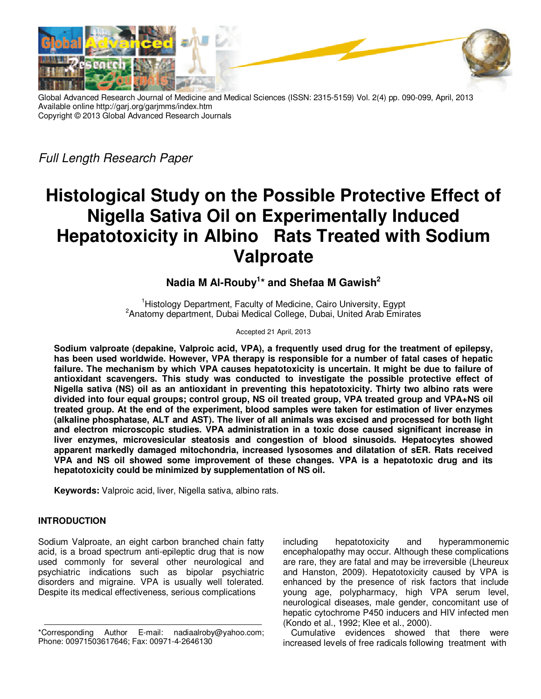

Global Advanced Research Journal of Medicine and Medical Sciences (ISSN: 2315-5159) Vol. 2(4) pp. 090-099, April, 2013 Available online http://garj.org/garjmms/index.htm Copyright © 2013 Global Advanced Research Journals

Full Length Research Paper

# **Histological Study on the Possible Protective Effect of Nigella Sativa Oil on Experimentally Induced Hepatotoxicity in Albino Rats Treated with Sodium Valproate**

# **Nadia M Al-Rouby<sup>1</sup> \* and Shefaa M Gawish<sup>2</sup>**

<sup>1</sup>Histology Department, Faculty of Medicine, Cairo University, Egypt <sup>2</sup>Anatomy department, Dubai Medical College, Dubai, United Arab Emirates

Accepted 21 April, 2013

**Sodium valproate (depakine, Valproic acid, VPA), a frequently used drug for the treatment of epilepsy, has been used worldwide. However, VPA therapy is responsible for a number of fatal cases of hepatic failure. The mechanism by which VPA causes hepatotoxicity is uncertain. It might be due to failure of antioxidant scavengers. This study was conducted to investigate the possible protective effect of Nigella sativa (NS) oil as an antioxidant in preventing this hepatotoxicity. Thirty two albino rats were divided into four equal groups; control group, NS oil treated group, VPA treated group and VPA+NS oil treated group. At the end of the experiment, blood samples were taken for estimation of liver enzymes (alkaline phosphatase, ALT and AST). The liver of all animals was excised and processed for both light and electron microscopic studies. VPA administration in a toxic dose caused significant increase in liver enzymes, microvesicular steatosis and congestion of blood sinusoids. Hepatocytes showed apparent markedly damaged mitochondria, increased lysosomes and dilatation of sER. Rats received VPA and NS oil showed some improvement of these changes. VPA is a hepatotoxic drug and its hepatotoxicity could be minimized by supplementation of NS oil.** 

**Keywords:** Valproic acid, liver, Nigella sativa, albino rats.

# **INTRODUCTION**

Sodium Valproate, an eight carbon branched chain fatty acid, is a broad spectrum anti-epileptic drug that is now used commonly for several other neurological and psychiatric indications such as bipolar psychiatric disorders and migraine. VPA is usually well tolerated. Despite its medical effectiveness, serious complications

including hepatotoxicity and hyperammonemic encephalopathy may occur. Although these complications are rare, they are fatal and may be irreversible (Lheureux and Hanston, 2009). Hepatotoxicity caused by VPA is enhanced by the presence of risk factors that include young age, polypharmacy, high VPA serum level, neurological diseases, male gender, concomitant use of hepatic cytochrome P450 inducers and HIV infected men (Kondo et al., 1992; Klee et al., 2000).

Cumulative evidences showed that there were increased levels of free radicals following treatment with

<sup>\*</sup>Corresponding Author E-mail: nadiaalroby@yahoo.com; Phone: 00971503617646; Fax: 00971-4-2646130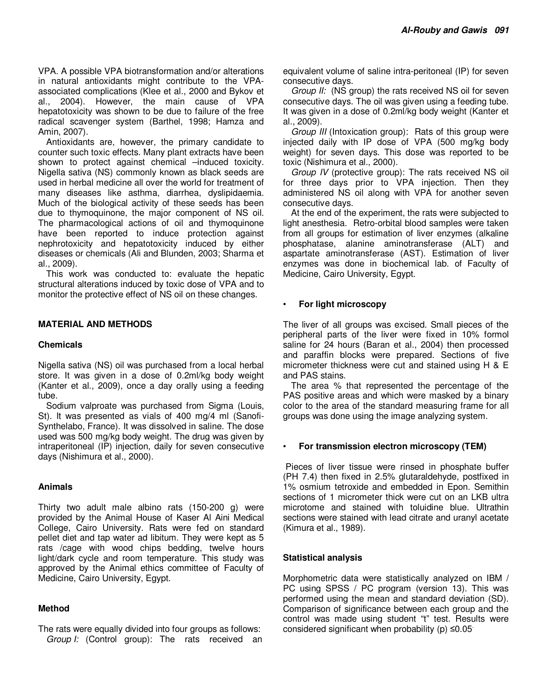VPA. A possible VPA biotransformation and/or alterations in natural antioxidants might contribute to the VPAassociated complications (Klee et al., 2000 and Bykov et al., 2004). However, the main cause of VPA hepatotoxicity was shown to be due to failure of the free radical scavenger system (Barthel, 1998; Hamza and Amin, 2007).

Antioxidants are, however, the primary candidate to counter such toxic effects. Many plant extracts have been shown to protect against chemical –induced toxicity. Nigella sativa (NS) commonly known as black seeds are used in herbal medicine all over the world for treatment of many diseases like asthma, diarrhea, dyslipidaemia. Much of the biological activity of these seeds has been due to thymoquinone, the major component of NS oil. The pharmacological actions of oil and thymoquinone have been reported to induce protection against nephrotoxicity and hepatotoxicity induced by either diseases or chemicals (Ali and Blunden, 2003; Sharma et al., 2009).

This work was conducted to: evaluate the hepatic structural alterations induced by toxic dose of VPA and to monitor the protective effect of NS oil on these changes.

### **MATERIAL AND METHODS**

#### **Chemicals**

Nigella sativa (NS) oil was purchased from a local herbal store. It was given in a dose of 0.2ml/kg body weight (Kanter et al., 2009), once a day orally using a feeding tube.

Sodium valproate was purchased from Sigma (Louis, St). It was presented as vials of 400 mg/4 ml (Sanofi-Synthelabo, France). It was dissolved in saline. The dose used was 500 mg/kg body weight. The drug was given by intraperitoneal (IP) injection, daily for seven consecutive days (Nishimura et al., 2000).

#### **Animals**

Thirty two adult male albino rats (150-200 g) were provided by the Animal House of Kaser Al Aini Medical College, Cairo University. Rats were fed on standard pellet diet and tap water ad libitum. They were kept as 5 rats /cage with wood chips bedding, twelve hours light/dark cycle and room temperature. This study was approved by the Animal ethics committee of Faculty of Medicine, Cairo University, Egypt.

#### **Method**

The rats were equally divided into four groups as follows: Group I: (Control group): The rats received an equivalent volume of saline intra-peritoneal (IP) for seven consecutive days.

Group II: (NS group) the rats received NS oil for seven consecutive days. The oil was given using a feeding tube. It was given in a dose of 0.2ml/kg body weight (Kanter et al., 2009).

Group III (Intoxication group): Rats of this group were injected daily with IP dose of VPA (500 mg/kg body weight) for seven days. This dose was reported to be toxic (Nishimura et al., 2000).

Group IV (protective group): The rats received NS oil for three days prior to VPA injection. Then they administered NS oil along with VPA for another seven consecutive days.

At the end of the experiment, the rats were subjected to light anesthesia. Retro-orbital blood samples were taken from all groups for estimation of liver enzymes (alkaline phosphatase, alanine aminotransferase (ALT) and aspartate aminotransferase (AST). Estimation of liver enzymes was done in biochemical lab. of Faculty of Medicine, Cairo University, Egypt.

#### • **For light microscopy**

The liver of all groups was excised. Small pieces of the peripheral parts of the liver were fixed in 10% formol saline for 24 hours (Baran et al., 2004) then processed and paraffin blocks were prepared. Sections of five micrometer thickness were cut and stained using H & E and PAS stains.

The area % that represented the percentage of the PAS positive areas and which were masked by a binary color to the area of the standard measuring frame for all groups was done using the image analyzing system.

#### • **For transmission electron microscopy (TEM)**

 Pieces of liver tissue were rinsed in phosphate buffer (PH 7.4) then fixed in 2.5% glutaraldehyde, postfixed in 1% osmium tetroxide and embedded in Epon. Semithin sections of 1 micrometer thick were cut on an LKB ultra microtome and stained with toluidine blue. Ultrathin sections were stained with lead citrate and uranyl acetate (Kimura et al., 1989).

#### **Statistical analysis**

Morphometric data were statistically analyzed on IBM / PC using SPSS / PC program (version 13). This was performed using the mean and standard deviation (SD). Comparison of significance between each group and the control was made using student "t" test. Results were considered significant when probability ( $p$ )  $\leq 0.05$ .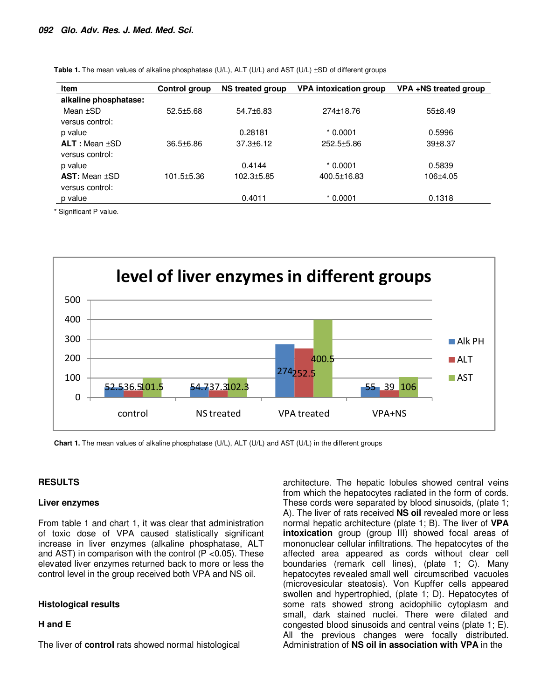| <b>Item</b>           | Control group | <b>NS treated group</b> | <b>VPA intoxication group</b> | VPA+NS treated group |
|-----------------------|---------------|-------------------------|-------------------------------|----------------------|
| alkaline phosphatase: |               |                         |                               |                      |
| Mean $\pm$ SD         | $52.5 + 5.68$ | $54.7\pm 6.83$          | 274±18.76                     | 55±8.49              |
| versus control:       |               |                         |                               |                      |
| p value               |               | 0.28181                 | $*0.0001$                     | 0.5996               |
| $ALT: Mean + SD$      | $36.5 + 6.86$ | $37.3 \pm 6.12$         | $252.5 + 5.86$                | $39 + 8.37$          |
| versus control:       |               |                         |                               |                      |
| p value               |               | 0.4144                  | $*0.0001$                     | 0.5839               |
| $AST: Mean \pm SD$    | 101.5±5.36    | $102.3 \pm 5.85$        | 400.5±16.83                   | $106 + 4.05$         |
| versus control:       |               |                         |                               |                      |
| p value               |               | 0.4011                  | $*0.0001$                     | 0.1318               |

Table 1. The mean values of alkaline phosphatase (U/L), ALT (U/L) and AST (U/L)  $\pm$ SD of different groups

\* Significant P value.



**Chart 1.** The mean values of alkaline phosphatase (U/L), ALT (U/L) and AST (U/L) in the different groups

#### **RESULTS**

#### **Liver enzymes**

From table 1 and chart 1, it was clear that administration of toxic dose of VPA caused statistically significant increase in liver enzymes (alkaline phosphatase, ALT and AST) in comparison with the control (P <0.05). These elevated liver enzymes returned back to more or less the control level in the group received both VPA and NS oil.

#### **Histological results**

#### **H and E**

The liver of **control** rats showed normal histological

architecture. The hepatic lobules showed central veins from which the hepatocytes radiated in the form of cords. These cords were separated by blood sinusoids, (plate 1; A). The liver of rats received **NS oil** revealed more or less normal hepatic architecture (plate 1; B). The liver of **VPA intoxication** group (group III) showed focal areas of mononuclear cellular infiltrations. The hepatocytes of the affected area appeared as cords without clear cell boundaries (remark cell lines), (plate 1; C). Many hepatocytes revealed small well circumscribed vacuoles (microvesicular steatosis). Von Kupffer cells appeared swollen and hypertrophied, (plate 1; D). Hepatocytes of some rats showed strong acidophilic cytoplasm and small, dark stained nuclei. There were dilated and congested blood sinusoids and central veins (plate 1; E). All the previous changes were focally distributed. Administration of **NS oil in association with VPA** in the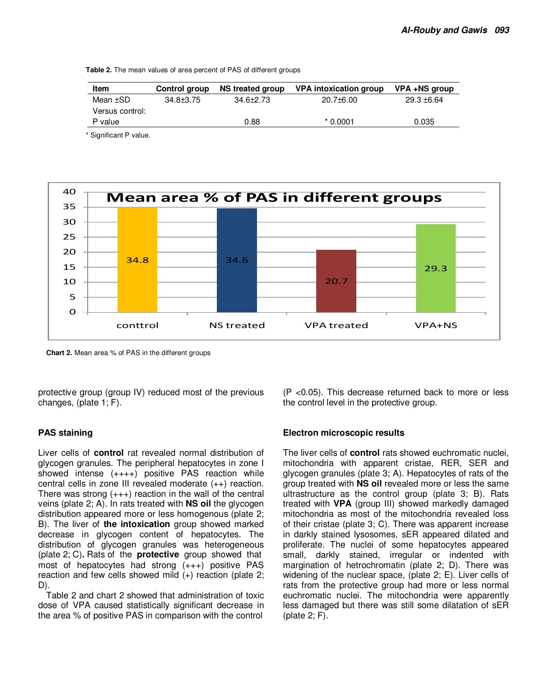**Table 2.** The mean values of area percent of PAS of different groups

| Item            | <b>Control group</b> | NS treated group | VPA intoxication group | VPA +NS group |
|-----------------|----------------------|------------------|------------------------|---------------|
| Mean ±SD        | $34.8 \pm 3.75$      | $34.6 \pm 2.73$  | $20.7\pm 6.00$         | $29.3 + 6.64$ |
| Versus control: |                      |                  |                        |               |
| P value         |                      | 0.88             | $*0.0001$              | 0.035         |
|                 |                      |                  |                        |               |

\* Significant P value.



**Chart 2.** Mean area % of PAS in the different groups

protective group (group IV) reduced most of the previous changes, (plate 1; F).

#### **PAS staining**

Liver cells of **control** rat revealed normal distribution of glycogen granules. The peripheral hepatocytes in zone I showed intense (++++) positive PAS reaction while central cells in zone III revealed moderate (++) reaction. There was strong  $(+++)$  reaction in the wall of the central veins (plate 2; A). In rats treated with **NS oil** the glycogen distribution appeared more or less homogenous (plate 2; B). The liver of **the intoxication** group showed marked decrease in glycogen content of hepatocytes. The distribution of glycogen granules was heterogeneous (plate 2; C)**.** Rats of the **protective** group showed that most of hepatocytes had strong (+++) positive PAS reaction and few cells showed mild (+) reaction (plate 2; D).

Table 2 and chart 2 showed that administration of toxic dose of VPA caused statistically significant decrease in the area % of positive PAS in comparison with the control

(P <0.05). This decrease returned back to more or less the control level in the protective group.

#### **Electron microscopic results**

The liver cells of **control** rats showed euchromatic nuclei, mitochondria with apparent cristae, RER, SER and glycogen granules (plate 3; A). Hepatocytes of rats of the group treated with **NS oil** revealed more or less the same ultrastructure as the control group (plate 3; B). Rats treated with **VPA** (group III) showed markedly damaged mitochondria as most of the mitochondria revealed loss of their cristae (plate 3; C). There was apparent increase in darkly stained lysosomes, sER appeared dilated and proliferate. The nuclei of some hepatocytes appeared small, darkly stained, irregular or indented with margination of hetrochromatin (plate 2; D). There was widening of the nuclear space, (plate 2; E). Liver cells of rats from the protective group had more or less normal euchromatic nuclei. The mitochondria were apparently less damaged but there was still some dilatation of sER (plate 2; F).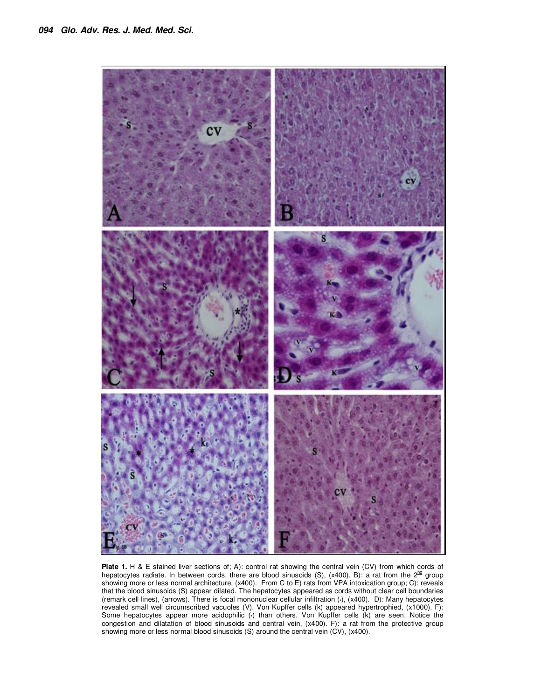

Plate 1. H & E stained liver sections of; A): control rat showing the central vein (CV) from which cords of hepatocytes radiate. In between cords, there are blood sinusoids (S), (x400). B): a rat from the  $2^{\text{nd}}$  group showing more or less normal architecture, (x400). From C to E) rats from VPA intoxication group; C): reveals that the blood sinusoids (S) appear dilated. The hepatocytes appeared as cords without clear cell boundaries (remark cell lines), (arrows). There is focal mononuclear cellular infiltration (**\***), (x400). D): Many hepatocytes revealed small well circumscribed vacuoles (V). Von Kupffer cells (k) appeared hypertrophied, (x1000). F): Some hepatocytes appear more acidophilic (**\***) than others. Von Kupffer cells (k) are seen. Notice the congestion and dilatation of blood sinusoids and central vein, (x400). F): a rat from the protective group showing more or less normal blood sinusoids (S) around the central vein (CV), (x400).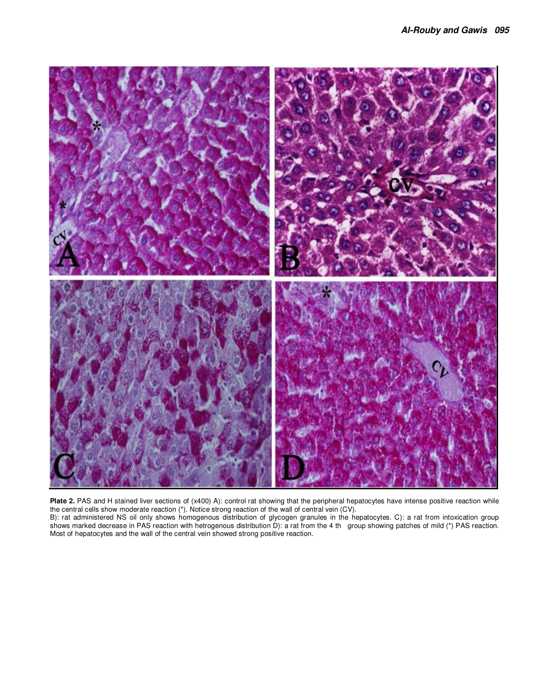

**Plate 2.** PAS and H stained liver sections of (x400) A): control rat showing that the peripheral hepatocytes have intense positive reaction while the central cells show moderate reaction (\*). Notice strong reaction of the wall of central vein (CV).

B): rat administered NS oil only shows homogenous distribution of glycogen granules in the hepatocytes. C): a rat from intoxication group shows marked decrease in PAS reaction with hetrogenous distribution D): a rat from the 4 th group showing patches of mild (\*) PAS reaction. Most of hepatocytes and the wall of the central vein showed strong positive reaction.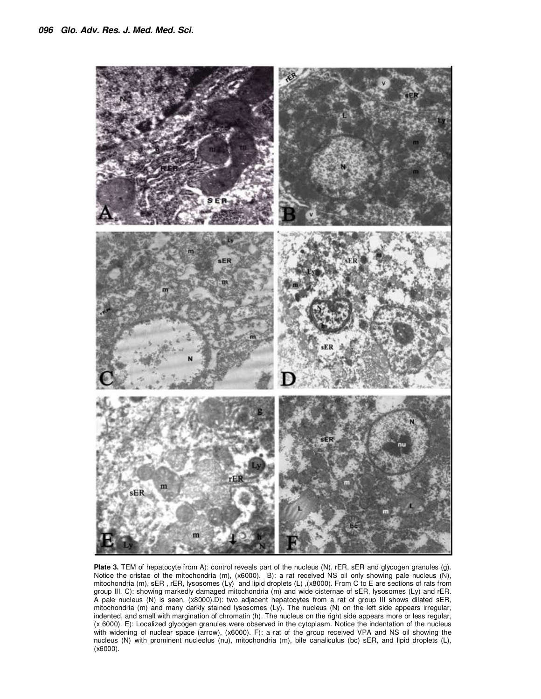

**Plate 3.** TEM of hepatocyte from A): control reveals part of the nucleus (N), rER, sER and glycogen granules (g). Notice the cristae of the mitochondria (m), (x6000). B): a rat received NS oil only showing pale nucleus (N), mitochondria (m), sER, rER, lysosomes (Ly) and lipid droplets (L), (x8000). From C to E are sections of rats from group III, C): showing markedly damaged mitochondria (m) and wide cisternae of sER, lysosomes (Ly) and rER. A pale nucleus (N) is seen, (x8000).D): two adjacent hepatocytes from a rat of group III shows dilated sER, mitochondria (m) and many darkly stained lysosomes (Ly). The nucleus (N) on the left side appears irregular, indented, and small with margination of chromatin (h). The nucleus on the right side appears more or less regular, (x 6000). E): Localized glycogen granules were observed in the cytoplasm. Notice the indentation of the nucleus with widening of nuclear space (arrow), (x6000). F): a rat of the group received VPA and NS oil showing the nucleus (N) with prominent nucleolus (nu), mitochondria (m), bile canaliculus (bc) sER, and lipid droplets (L), (x6000).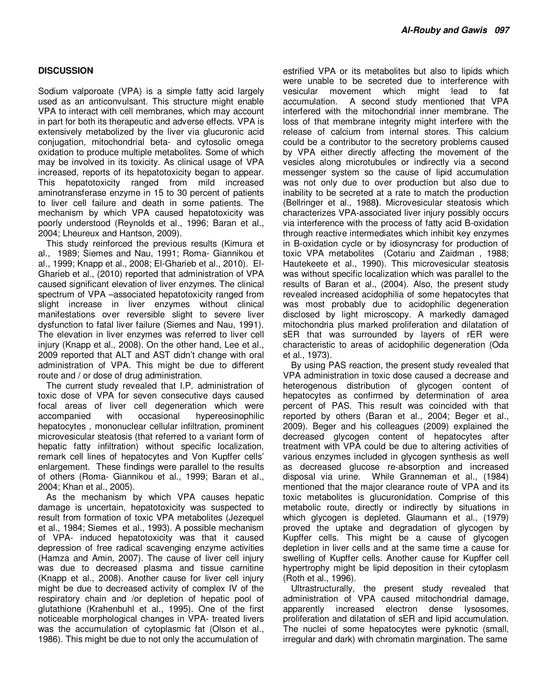## **DISCUSSION**

Sodium valporoate (VPA) is a simple fatty acid largely used as an anticonvulsant. This structure might enable VPA to interact with cell membranes, which may account in part for both its therapeutic and adverse effects. VPA is extensively metabolized by the liver via glucuronic acid conjugation, mitochondrial beta- and cytosolic omega oxidation to produce multiple metabolites. Some of which may be involved in its toxicity. As clinical usage of VPA increased, reports of its hepatotoxicity began to appear. This hepatotoxicity ranged from mild increased aminotransferase enzyme in 15 to 30 percent of patients to liver cell failure and death in some patients. The mechanism by which VPA caused hepatotoxicity was poorly understood (Reynolds et al., 1996; Baran et al., 2004; Lheureux and Hantson, 2009).

This study reinforced the previous results (Kimura et al., 1989; Siemes and Nau, 1991; Roma- Giannikou et al., 1999; Knapp et al., 2008; El-Gharieb et al., 2010). El-Gharieb et al., (2010) reported that administration of VPA caused significant elevation of liver enzymes. The clinical spectrum of VPA –associated hepatotoxicity ranged from slight increase in liver enzymes without clinical manifestations over reversible slight to severe liver dysfunction to fatal liver failure (Siemes and Nau, 1991). The elevation in liver enzymes was referred to liver cell injury (Knapp et al., 2008). On the other hand, Lee et al., 2009 reported that ALT and AST didn't change with oral administration of VPA. This might be due to different route and / or dose of drug administration.

The current study revealed that I.P. administration of toxic dose of VPA for seven consecutive days caused focal areas of liver cell degeneration which were accompanied with occasional hypereosinophilic hepatocytes , mononuclear cellular infiltration, prominent microvesicular steatosis (that referred to a variant form of hepatic fatty infiltration) without specific localization, remark cell lines of hepatocytes and Von Kupffer cells' enlargement. These findings were parallel to the results of others (Roma- Giannikou et al., 1999; Baran et al., 2004; Khan et al., 2005).

As the mechanism by which VPA causes hepatic damage is uncertain, hepatotoxicity was suspected to result from formation of toxic VPA metabolites (Jezequel et al., 1984; Siemes et al., 1993). A possible mechanism of VPA- induced hepatotoxicity was that it caused depression of free radical scavenging enzyme activities (Hamza and Amin, 2007). The cause of liver cell injury was due to decreased plasma and tissue carnitine (Knapp et al., 2008). Another cause for liver cell injury might be due to decreased activity of complex IV of the respiratory chain and /or depletion of hepatic pool of glutathione (Krahenbuhl et al., 1995). One of the first noticeable morphological changes in VPA- treated livers was the accumulation of cytoplasmic fat (Olson et al., 1986). This might be due to not only the accumulation of

estrified VPA or its metabolites but also to lipids which were unable to be secreted due to interference with vesicular movement which might lead to fat accumulation. A second study mentioned that VPA interfered with the mitochondrial inner membrane. The loss of that membrane integrity might interfere with the release of calcium from internal stores. This calcium could be a contributor to the secretory problems caused by VPA either directly affecting the movement of the vesicles along microtubules or indirectly via a second messenger system so the cause of lipid accumulation was not only due to over production but also due to inability to be secreted at a rate to match the production (Bellringer et al., 1988**)**. Microvesicular steatosis which characterizes VPA-associated liver injury possibly occurs via interference with the process of fatty acid B-oxidation through reactive intermediates which inhibit key enzymes in B-oxidation cycle or by idiosyncrasy for production of toxic VPA metabolites (Cotariu and Zaidman , 1988; Hautekeete et al., 1990). This microvesicular steatosis was without specific localization which was parallel to the results of Baran et al., (2004). Also, the present study revealed increased acidophilia of some hepatocytes that was most probably due to acidophilic degeneration disclosed by light microscopy. A markedly damaged mitochondria plus marked proliferation and dilatation of sER that was surrounded by layers of rER were characteristic to areas of acidophilic degeneration (Oda et al., 1973).

By using PAS reaction, the present study revealed that VPA administration in toxic dose caused a decrease and heterogenous distribution of glycogen content of hepatocytes as confirmed by determination of area percent of PAS. This result was coincided with that reported by others (Baran et al., 2004; Beger et al., 2009). Beger and his colleagues (2009) explained the decreased glycogen content of hepatocytes after treatment with VPA could be due to altering activities of various enzymes included in glycogen synthesis as well as decreased glucose re-absorption and increased disposal via urine. While Granneman et al., (1984) mentioned that the major clearance route of VPA and its toxic metabolites is glucuronidation. Comprise of this metabolic route, directly or indirectly by situations in which glycogen is depleted. Glaumann et al., (1979) proved the uptake and degradation of glycogen by Kupffer cells. This might be a cause of glycogen depletion in liver cells and at the same time a cause for swelling of Kupffer cells. Another cause for Kupffer cell hypertrophy might be lipid deposition in their cytoplasm (Roth et al., 1996).

Ultrastructurally, the present study revealed that administration of VPA caused mitochondrial damage, apparently increased electron dense lysosomes, proliferation and dilatation of sER and lipid accumulation. The nuclei of some hepatocytes were pyknotic (small, irregular and dark) with chromatin margination. The same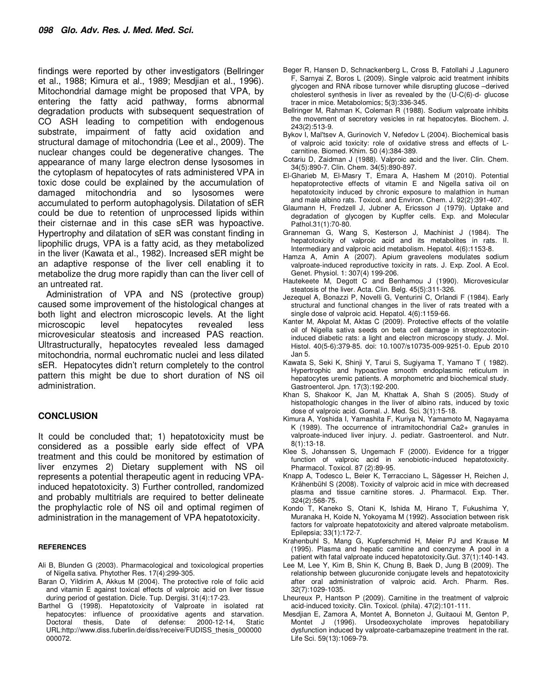findings were reported by other investigators (Bellringer et al., 1988; Kimura et al., 1989; Mesdjian et al., 1996). Mitochondrial damage might be proposed that VPA, by entering the fatty acid pathway, forms abnormal degradation products with subsequent sequestration of CO ASH leading to competition with endogenous substrate, impairment of fatty acid oxidation and structural damage of mitochondria (Lee et al., 2009). The nuclear changes could be degenerative changes. The appearance of many large electron dense lysosomes in the cytoplasm of hepatocytes of rats administered VPA in toxic dose could be explained by the accumulation of damaged mitochondria and so lysosomes were accumulated to perform autophagolysis. Dilatation of sER could be due to retention of unprocessed lipids within their cisternae and in this case sER was hypoactive. Hypertrophy and dilatation of sER was constant finding in lipophilic drugs, VPA is a fatty acid, as they metabolized in the liver (Kawata et al., 1982). Increased sER might be an adaptive response of the liver cell enabling it to metabolize the drug more rapidly than can the liver cell of an untreated rat.

Administration of VPA and NS (protective group) caused some improvement of the histological changes at both light and electron microscopic levels. At the light microscopic level behatocytes revealed less microscopic level hepatocytes revealed less microvesicular steatosis and increased PAS reaction. Ultrastructurally, hepatocytes revealed less damaged mitochondria, normal euchromatic nuclei and less dilated sER. Hepatocytes didn't return completely to the control pattern this might be due to short duration of NS oil administration.

#### **CONCLUSION**

It could be concluded that; 1) hepatotoxicity must be considered as a possible early side effect of VPA treatment and this could be monitored by estimation of liver enzymes 2) Dietary supplement with NS oil represents a potential therapeutic agent in reducing VPAinduced hepatotoxicity. 3) Further controlled, randomized and probably multitrials are required to better delineate the prophylactic role of NS oil and optimal regimen of administration in the management of VPA hepatotoxicity.

#### **REFERENCES**

- Ali B, Blunden G (2003). Pharmacological and toxicological properties of Nigella sativa. Phytother Res. 17(4):299-305.
- Baran O, Yildirim A, Akkus M (2004). The protective role of folic acid and vitamin E against toxical effects of valproic acid on liver tissue during period of gestation. Dicle. Tup. Dergisi. 31(4):17-23.
- Barthel G (1998). Hepatotoxicity of Valproate in isolated rat hepatocytes: influence of prooxidative agents and starvation. Doctoral thesis, Date of defense: 2000-12-14, Static URL:http://www.diss.fuberlin.de/diss/receive/FUDISS\_thesis\_000000 000072.
- Beger R, Hansen D, Schnackenberg L, Cross B, Fatollahi J ,Lagunero F, Sarnyai Z, Boros L (2009). Single valproic acid treatment inhibits glycogen and RNA ribose turnover while disrupting glucose –derived cholesterol synthesis in liver as revealed by the (U-C(6)-d- glucose tracer in mice. Metabolomics; 5(3):336-345.
- Bellringer M, Rahman K, Coleman R (1988). Sodium valproate inhibits the movement of secretory vesicles in rat hepatocytes. Biochem. J. 243(2):513-9.
- Bykov I, Mal'tsev A, Gurinovich V, Nefedov L (2004). Biochemical basis of valproic acid toxicity: role of oxidative stress and effects of Lcarnitine. Biomed. Khim. 50 (4):384-389.
- Cotariu D, Zaidman J (1988). Valproic acid and the liver. Clin. Chem. 34(5):890-7. Clin. Chem. 34(5):890-897.
- El-Gharieb M, El-Masry T, Emara A, Hashem M (2010). Potential hepatoprotective effects of vitamin E and Nigella sativa oil on hepatotoxicity induced by chronic exposure to malathion in human and male albino rats. Toxicol. and Environ. Chem. J. 92(2):391-407.
- Glaumann H, Fredzell J, Jubner A, Ericsson J (1979). Uptake and degradation of glycogen by Kupffer cells. Exp. and Molecular Pathol.31(1):70-80.
- Granneman G, Wang S, Kesterson J, Machinist J (1984). The hepatotoxicity of valproic acid and its metabolites in rats. II. Intermediary and valproic acid metabolism. Hepatol. 4(6):1153-8.
- Hamza A, Amin A (2007). Apium graveolens modulates sodium valproate-induced reproductive toxicity in rats. J. Exp. Zool. A Ecol. Genet. Physiol. 1: 307(4) 199-206.
- Hautekeete M, Degott C and Benhamou J (1990). Microvesicular steatosis of the liver. Acta. Clin. Belg. 45(5):311-326.
- Jezequel A, Bonazzi P, Novelli G, Venturini C, Orlandi F (1984). Early structural and functional changes in the liver of rats treated with a single dose of valproic acid. Hepatol. 4(6):1159-66.
- Kanter M, Akpolat M, Aktas C (2009). Protective effects of the volatile oil of Nigella sativa seeds on beta cell damage in streptozotocininduced diabetic rats: a light and electron microscopy study. J. Mol. Histol. 40(5-6):379-85. doi: 10.1007/s10735-009-9251-0. Epub 2010 Jan 5.
- Kawata S, Seki K, Shinji Y, Tarui S, Sugiyama T, Yamano T ( 1982). Hypertrophic and hypoactive smooth endoplasmic reticulum in hepatocytes uremic patients. A morphometric and biochemical study. Gastroenterol. Jpn. 17(3):192-200.
- Khan S, Shakoor K, Jan M, Khattak A, Shah S (2005). Study of histopathologic changes in the liver of albino rats, induced by toxic dose of valproic acid. Gomal. J. Med. Sci. 3(1):15-18.
- Kimura A, Yoshida I, Yamashita F, Kuriya N, Yamamoto M, Nagayama K (1989). The occurrence of intramitochondrial Ca2+ granules in valproate-induced liver injury. J. pediatr. Gastroenterol. and Nutr. 8(1):13-18.
- Klee S, Johanssen S, Ungemach F (2000). Evidence for a trigger function of valproic acid in xenobiotic-induced hepatotoxicity. Pharmacol. Toxicol. 87 (2):89-95.
- Knapp A, Todesco L, Beier K, Terracciano L, Sägesser H, Reichen J, Krähenbühl S (2008). Toxicity of valproic acid in mice with decreased plasma and tissue carnitine stores. J. Pharmacol. Exp. Ther. 324(2):568-75.
- Kondo T, Kaneko S, Otani K, Ishida M, Hirano T, Fukushima Y, Muranaka H, Koide N, Yokoyama M (1992). Association between risk factors for valproate hepatotoxicity and altered valproate metabolism. Epilepsia; 33(1):172-7.
- Krahenbuhl S, Mang G, Kupferschmid H, Meier PJ and Krause M (1995). Plasma and hepatic carnitine and coenzyme A pool in a patient with fatal valproate induced hepatotoxicity.Gut. 37(1):140-143.
- Lee M, Lee Y, Kim B, Shin K, Chung B, Baek D, Jung B (2009). The relationship between glucuronide conjugate levels and hepatotoxicity after oral administration of valproic acid. Arch. Pharm. Res. 32(7):1029-1035.
- Lheureux P, Hantson P (2009). Carnitine in the treatment of valproic acid-induced toxicity. Clin. Toxicol. (phila). 47(2):101-111.
- Mesdjian E, Zamora A, Montet A, Bonneton J, Guitaoui M, Genton P, Montet J (1996). Ursodeoxycholate improves hepatobiliary dysfunction induced by valproate-carbamazepine treatment in the rat. Life Sci. 59(13):1069-79.